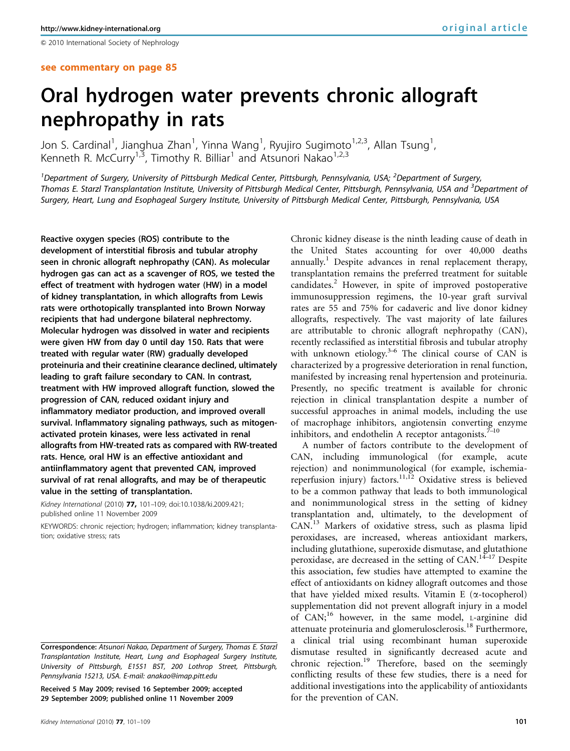## see commentary on page 85

# Oral hydrogen water prevents chronic allograft nephropathy in rats

Jon S. Cardinal<sup>1</sup>, Jianghua Zhan<sup>1</sup>, Yinna Wang<sup>1</sup>, Ryujiro Sugimoto<sup>1,2,3</sup>, Allan Tsung<sup>1</sup> , Kenneth R. McCurry<sup>1,3</sup>, Timothy R. Billiar<sup>1</sup> and Atsunori Nakao<sup>1,2,3</sup>

<sup>1</sup>Department of Surgery, University of Pittsburgh Medical Center, Pittsburgh, Pennsylvania, USA; <sup>2</sup>Department of Surgery, Thomas E. Starzl Transplantation Institute, University of Pittsburgh Medical Center, Pittsburgh, Pennsylvania, USA and <sup>3</sup>Department of Surgery, Heart, Lung and Esophageal Surgery Institute, University of Pittsburgh Medical Center, Pittsburgh, Pennsylvania, USA

Reactive oxygen species (ROS) contribute to the development of interstitial fibrosis and tubular atrophy seen in chronic allograft nephropathy (CAN). As molecular hydrogen gas can act as a scavenger of ROS, we tested the effect of treatment with hydrogen water (HW) in a model of kidney transplantation, in which allografts from Lewis rats were orthotopically transplanted into Brown Norway recipients that had undergone bilateral nephrectomy. Molecular hydrogen was dissolved in water and recipients were given HW from day 0 until day 150. Rats that were treated with regular water (RW) gradually developed proteinuria and their creatinine clearance declined, ultimately leading to graft failure secondary to CAN. In contrast, treatment with HW improved allograft function, slowed the progression of CAN, reduced oxidant injury and inflammatory mediator production, and improved overall survival. Inflammatory signaling pathways, such as mitogenactivated protein kinases, were less activated in renal allografts from HW-treated rats as compared with RW-treated rats. Hence, oral HW is an effective antioxidant and antiinflammatory agent that prevented CAN, improved survival of rat renal allografts, and may be of therapeutic value in the setting of transplantation.

Kidney International (2010) 77, 101–109; doi[:10.1038/ki.2009.421](http://dx.doi.org/10.1038/ki.2009.421); published online 11 November 2009

KEYWORDS: chronic rejection; hydrogen; inflammation; kidney transplantation; oxidative stress; rats

Received 5 May 2009; revised 16 September 2009; accepted 29 September 2009; published online 11 November 2009

Chronic kidney disease is the ninth leading cause of death in the United States accounting for over 40,000 deaths annually.<sup>1</sup> Despite advances in renal replacement therapy, transplantation remains the preferred treatment for suitable candidates.[2](#page-7-0) However, in spite of improved postoperative immunosuppression regimens, the 10-year graft survival rates are 55 and 75% for cadaveric and live donor kidney allografts, respectively. The vast majority of late failures are attributable to chronic allograft nephropathy (CAN), recently reclassified as interstitial fibrosis and tubular atrophy with unknown etiology. $3-6$  The clinical course of CAN is characterized by a progressive deterioration in renal function, manifested by increasing renal hypertension and proteinuria. Presently, no specific treatment is available for chronic rejection in clinical transplantation despite a number of successful approaches in animal models, including the use of macrophage inhibitors, angiotensin converting enzyme inhibitors, and endothelin A receptor antagonists.<sup>7-10</sup>

A number of factors contribute to the development of CAN, including immunological (for example, acute rejection) and nonimmunological (for example, ischemia-reperfusion injury) factors.<sup>[11,12](#page-7-0)</sup> Oxidative stress is believed to be a common pathway that leads to both immunological and nonimmunological stress in the setting of kidney transplantation and, ultimately, to the development of CAN.[13](#page-7-0) Markers of oxidative stress, such as plasma lipid peroxidases, are increased, whereas antioxidant markers, including glutathione, superoxide dismutase, and glutathione peroxidase, are decreased in the setting of  $CAN$ .<sup>[14–17](#page-7-0)</sup> Despite this association, few studies have attempted to examine the effect of antioxidants on kidney allograft outcomes and those that have yielded mixed results. Vitamin  $E$  ( $\alpha$ -tocopherol) supplementation did not prevent allograft injury in a model of CAN;[16](#page-7-0) however, in the same model, L-arginine did attenuate proteinuria and glomerulosclerosis.<sup>[18](#page-7-0)</sup> Furthermore, a clinical trial using recombinant human superoxide dismutase resulted in significantly decreased acute and chronic rejection.<sup>[19](#page-7-0)</sup> Therefore, based on the seemingly conflicting results of these few studies, there is a need for additional investigations into the applicability of antioxidants for the prevention of CAN.

Correspondence: Atsunori Nakao, Department of Surgery, Thomas E. Starzl Transplantation Institute, Heart, Lung and Esophageal Surgery Institute, University of Pittsburgh, E1551 BST, 200 Lothrop Street, Pittsburgh, Pennsylvania 15213, USA. E-mail: [anakao@imap.pitt.edu](mailto:anakao@imap.pitt.edu)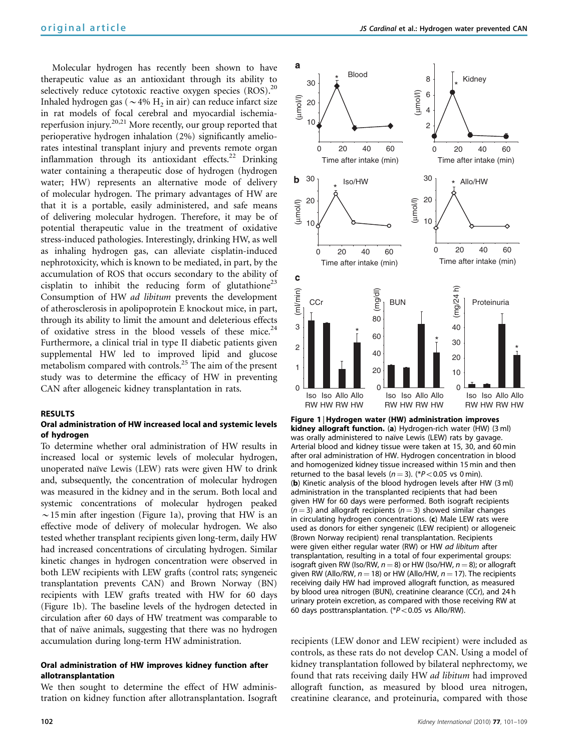<span id="page-1-0"></span>Molecular hydrogen has recently been shown to have therapeutic value as an antioxidant through its ability to selectively reduce cytotoxic reactive oxygen species  $(ROS)^{20}$  $(ROS)^{20}$  $(ROS)^{20}$ Inhaled hydrogen gas ( $\sim$  4% H<sub>2</sub> in air) can reduce infarct size in rat models of focal cerebral and myocardial ischemiareperfusion injury[.20,21](#page-7-0) More recently, our group reported that perioperative hydrogen inhalation (2%) significantly ameliorates intestinal transplant injury and prevents remote organ inflammation through its antioxidant effects.<sup>[22](#page-7-0)</sup> Drinking water containing a therapeutic dose of hydrogen (hydrogen water; HW) represents an alternative mode of delivery of molecular hydrogen. The primary advantages of HW are that it is a portable, easily administered, and safe means of delivering molecular hydrogen. Therefore, it may be of potential therapeutic value in the treatment of oxidative stress-induced pathologies. Interestingly, drinking HW, as well as inhaling hydrogen gas, can alleviate cisplatin-induced nephrotoxicity, which is known to be mediated, in part, by the accumulation of ROS that occurs secondary to the ability of cisplatin to inhibit the reducing form of glutathione<sup>[23](#page-7-0)</sup> Consumption of HW ad libitum prevents the development of atherosclerosis in apolipoprotein E knockout mice, in part, through its ability to limit the amount and deleterious effects of oxidative stress in the blood vessels of these mice.<sup>[24](#page-7-0)</sup> Furthermore, a clinical trial in type II diabetic patients given supplemental HW led to improved lipid and glucose metabolism compared with controls.<sup>25</sup> The aim of the present study was to determine the efficacy of HW in preventing CAN after allogeneic kidney transplantation in rats.

## RESULTS

## Oral administration of HW increased local and systemic levels of hydrogen

To determine whether oral administration of HW results in increased local or systemic levels of molecular hydrogen, unoperated naïve Lewis (LEW) rats were given HW to drink and, subsequently, the concentration of molecular hydrogen was measured in the kidney and in the serum. Both local and systemic concentrations of molecular hydrogen peaked  $\sim$  15 min after ingestion (Figure 1a), proving that HW is an effective mode of delivery of molecular hydrogen. We also tested whether transplant recipients given long-term, daily HW had increased concentrations of circulating hydrogen. Similar kinetic changes in hydrogen concentration were observed in both LEW recipients with LEW grafts (control rats; syngeneic transplantation prevents CAN) and Brown Norway (BN) recipients with LEW grafts treated with HW for 60 days (Figure 1b). The baseline levels of the hydrogen detected in circulation after 60 days of HW treatment was comparable to that of naïve animals, suggesting that there was no hydrogen accumulation during long-term HW administration.

## Oral administration of HW improves kidney function after allotransplantation

We then sought to determine the effect of HW administration on kidney function after allotransplantation. Isograft



Figure 1 |Hydrogen water (HW) administration improves kidney allograft function. (a) Hydrogen-rich water (HW) (3 ml) was orally administered to naïve Lewis (LEW) rats by gavage. Arterial blood and kidney tissue were taken at 15, 30, and 60 min after oral administration of HW. Hydrogen concentration in blood and homogenized kidney tissue increased within 15 min and then returned to the basal levels ( $n = 3$ ). (\*P<0.05 vs 0 min). (b) Kinetic analysis of the blood hydrogen levels after HW (3 ml) administration in the transplanted recipients that had been given HW for 60 days were performed. Both isograft recipients  $(n = 3)$  and allograft recipients  $(n = 3)$  showed similar changes in circulating hydrogen concentrations. (c) Male LEW rats were used as donors for either syngeneic (LEW recipient) or allogeneic (Brown Norway recipient) renal transplantation. Recipients were given either regular water (RW) or HW ad libitum after transplantation, resulting in a total of four experimental groups: isograft given RW (Iso/RW,  $n = 8$ ) or HW (Iso/HW,  $n = 8$ ); or allograft given RW (Allo/RW,  $n = 18$ ) or HW (Allo/HW,  $n = 17$ ). The recipients receiving daily HW had improved allograft function, as measured by blood urea nitrogen (BUN), creatinine clearance (CCr), and 24 h urinary protein excretion, as compared with those receiving RW at 60 days posttransplantation. (\* $P$ < 0.05 vs Allo/RW).

recipients (LEW donor and LEW recipient) were included as controls, as these rats do not develop CAN. Using a model of kidney transplantation followed by bilateral nephrectomy, we found that rats receiving daily HW ad libitum had improved allograft function, as measured by blood urea nitrogen, creatinine clearance, and proteinuria, compared with those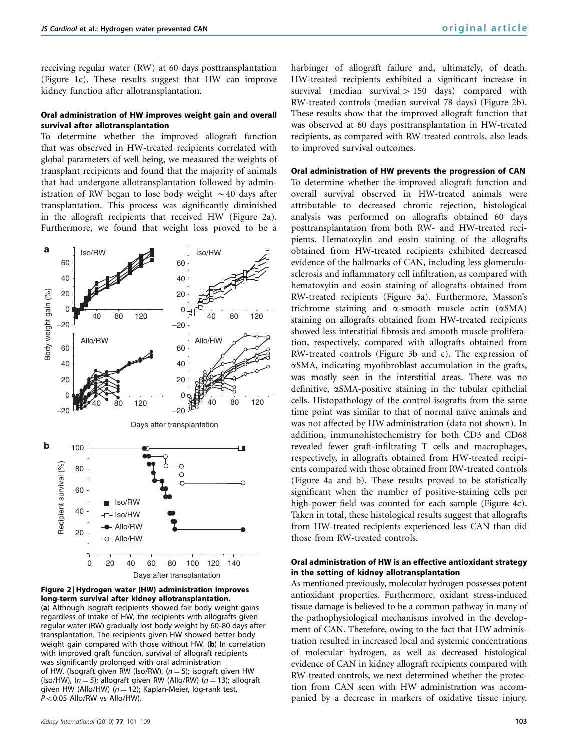receiving regular water (RW) at 60 days posttransplantation [\(Figure 1c](#page-1-0)). These results suggest that HW can improve kidney function after allotransplantation.

## Oral administration of HW improves weight gain and overall survival after allotransplantation

To determine whether the improved allograft function that was observed in HW-treated recipients correlated with global parameters of well being, we measured the weights of transplant recipients and found that the majority of animals that had undergone allotransplantation followed by administration of RW began to lose body weight  $\sim$  40 days after transplantation. This process was significantly diminished in the allograft recipients that received HW (Figure 2a). Furthermore, we found that weight loss proved to be a



Figure 2 |Hydrogen water (HW) administration improves long-term survival after kidney allotransplantation.

(a) Although isograft recipients showed fair body weight gains regardless of intake of HW, the recipients with allografts given regular water (RW) gradually lost body weight by 60–80 days after transplantation. The recipients given HW showed better body weight gain compared with those without HW. (b) In correlation with improved graft function, survival of allograft recipients was significantly prolonged with oral administration of HW. (Isograft given RW (Iso/RW),  $(n = 5)$ ; isograft given HW (Iso/HW),  $(n = 5)$ ; allograft given RW (Allo/RW)  $(n = 13)$ ; allograft given HW (Allo/HW) ( $n = 12$ ); Kaplan-Meier, log-rank test,  $P < 0.05$  Allo/RW vs Allo/HW).

harbinger of allograft failure and, ultimately, of death. HW-treated recipients exhibited a significant increase in survival (median survival  $> 150$  days) compared with RW-treated controls (median survival 78 days) (Figure 2b). These results show that the improved allograft function that was observed at 60 days posttransplantation in HW-treated recipients, as compared with RW-treated controls, also leads to improved survival outcomes.

# Oral administration of HW prevents the progression of CAN To determine whether the improved allograft function and overall survival observed in HW-treated animals were attributable to decreased chronic rejection, histological analysis was performed on allografts obtained 60 days posttransplantation from both RW- and HW-treated recipients. Hematoxylin and eosin staining of the allografts obtained from HW-treated recipients exhibited decreased evidence of the hallmarks of CAN, including less glomerulosclerosis and inflammatory cell infiltration, as compared with hematoxylin and eosin staining of allografts obtained from RW-treated recipients ([Figure 3a\)](#page-3-0). Furthermore, Masson's trichrome staining and  $\alpha$ -smooth muscle actin ( $\alpha$ SMA) staining on allografts obtained from HW-treated recipients showed less interstitial fibrosis and smooth muscle proliferation, respectively, compared with allografts obtained from RW-treated controls [\(Figure 3b and c\)](#page-3-0). The expression of aSMA, indicating myofibroblast accumulation in the grafts, was mostly seen in the interstitial areas. There was no definitive, aSMA-positive staining in the tubular epithelial cells. Histopathology of the control isografts from the same time point was similar to that of normal naïve animals and was not affected by HW administration (data not shown). In addition, immunohistochemistry for both CD3 and CD68 revealed fewer graft-infiltrating T cells and macrophages, respectively, in allografts obtained from HW-treated recipients compared with those obtained from RW-treated controls ([Figure 4a and b](#page-3-0)). These results proved to be statistically significant when the number of positive-staining cells per high-power field was counted for each sample ([Figure 4c](#page-3-0)). Taken in total, these histological results suggest that allografts from HW-treated recipients experienced less CAN than did those from RW-treated controls.

# Oral administration of HW is an effective antioxidant strategy in the setting of kidney allotransplantation

As mentioned previously, molecular hydrogen possesses potent antioxidant properties. Furthermore, oxidant stress-induced tissue damage is believed to be a common pathway in many of the pathophysiological mechanisms involved in the development of CAN. Therefore, owing to the fact that HW administration resulted in increased local and systemic concentrations of molecular hydrogen, as well as decreased histological evidence of CAN in kidney allograft recipients compared with RW-treated controls, we next determined whether the protection from CAN seen with HW administration was accompanied by a decrease in markers of oxidative tissue injury.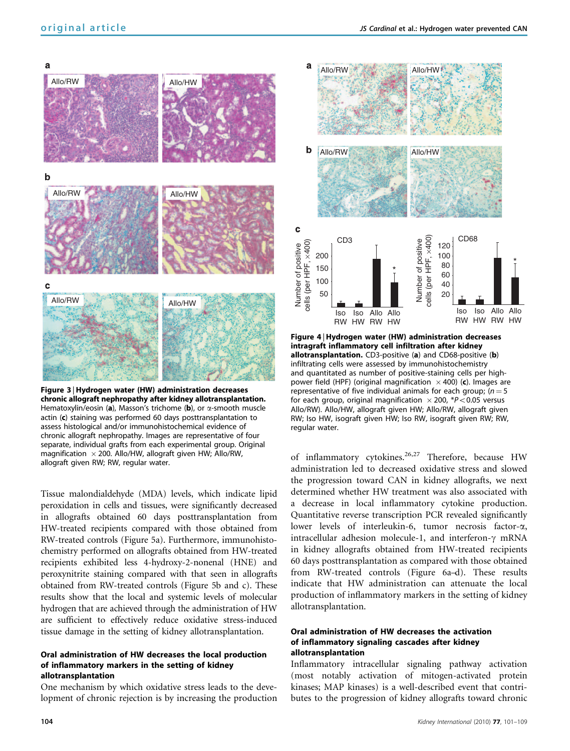<span id="page-3-0"></span>a



Figure 3 |Hydrogen water (HW) administration decreases chronic allograft nephropathy after kidney allotransplantation. Hematoxylin/eosin (a), Masson's trichome (b), or  $\alpha$ -smooth muscle actin (c) staining was performed 60 days posttransplantation to assess histological and/or immunohistochemical evidence of chronic allograft nephropathy. Images are representative of four separate, individual grafts from each experimental group. Original magnification  $\,\times\,$  200. Allo/HW, allograft given HW; Allo/RW, allograft given RW; RW, regular water.

Tissue malondialdehyde (MDA) levels, which indicate lipid peroxidation in cells and tissues, were significantly decreased in allografts obtained 60 days posttransplantation from HW-treated recipients compared with those obtained from RW-treated controls [\(Figure 5a](#page-4-0)). Furthermore, immunohistochemistry performed on allografts obtained from HW-treated recipients exhibited less 4-hydroxy-2-nonenal (HNE) and peroxynitrite staining compared with that seen in allografts obtained from RW-treated controls [\(Figure 5b and c](#page-4-0)). These results show that the local and systemic levels of molecular hydrogen that are achieved through the administration of HW are sufficient to effectively reduce oxidative stress-induced tissue damage in the setting of kidney allotransplantation.

## Oral administration of HW decreases the local production of inflammatory markers in the setting of kidney allotransplantation

One mechanism by which oxidative stress leads to the development of chronic rejection is by increasing the production



Figure 4 |Hydrogen water (HW) administration decreases intragraft inflammatory cell infiltration after kidney allotransplantation. CD3-positive (a) and CD68-positive (b) infiltrating cells were assessed by immunohistochemistry and quantitated as number of positive-staining cells per highpower field (HPF) (original magnification  $\,\times\,$  400) (c). Images are representative of five individual animals for each group;  $(n = 5)$ for each group, original magnification  $\,\times\,$  200, \*P $<$  0.05 versus Allo/RW). Allo/HW, allograft given HW; Allo/RW, allograft given RW; Iso HW, isograft given HW; Iso RW, isograft given RW; RW, regular water.

of inflammatory cytokines.<sup>[26,27](#page-7-0)</sup> Therefore, because HW administration led to decreased oxidative stress and slowed the progression toward CAN in kidney allografts, we next determined whether HW treatment was also associated with a decrease in local inflammatory cytokine production. Quantitative reverse transcription PCR revealed significantly lower levels of interleukin-6, tumor necrosis factor-a, intracellular adhesion molecule-1, and interferon- $\gamma$  mRNA in kidney allografts obtained from HW-treated recipients 60 days posttransplantation as compared with those obtained from RW-treated controls [\(Figure 6a–d](#page-4-0)). These results indicate that HW administration can attenuate the local production of inflammatory markers in the setting of kidney allotransplantation.

## Oral administration of HW decreases the activation of inflammatory signaling cascades after kidney allotransplantation

Inflammatory intracellular signaling pathway activation (most notably activation of mitogen-activated protein kinases; MAP kinases) is a well-described event that contributes to the progression of kidney allografts toward chronic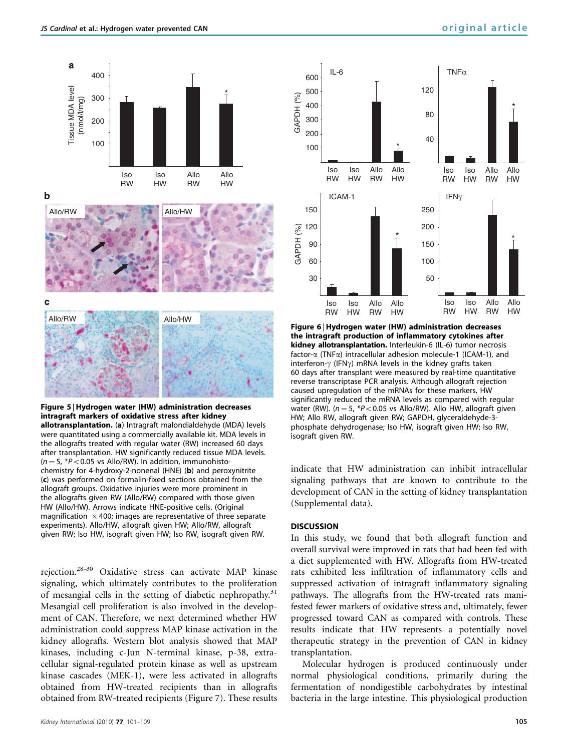<span id="page-4-0"></span>

Figure 5 |Hydrogen water (HW) administration decreases intragraft markers of oxidative stress after kidney allotransplantation. (a) Intragraft malondialdehyde (MDA) levels were quantitated using a commercially available kit. MDA levels in the allografts treated with regular water (RW) increased 60 days after transplantation. HW significantly reduced tissue MDA levels.  $(n = 5, *P<0.05$  vs Allo/RW). In addition, immunohistochemistry for 4-hydroxy-2-nonenal (HNE) (b) and peroxynitrite (c) was performed on formalin-fixed sections obtained from the allograft groups. Oxidative injuries were more prominent in the allografts given RW (Allo/RW) compared with those given HW (Allo/HW). Arrows indicate HNE-positive cells. (Original magnification  $\,\times\,$  400; images are representative of three separate experiments). Allo/HW, allograft given HW; Allo/RW, allograft given RW; Iso HW, isograft given HW; Iso RW, isograft given RW.

rejection.[28–30](#page-7-0) Oxidative stress can activate MAP kinase signaling, which ultimately contributes to the proliferation of mesangial cells in the setting of diabetic nephropathy.<sup>[31](#page-7-0)</sup> Mesangial cell proliferation is also involved in the development of CAN. Therefore, we next determined whether HW administration could suppress MAP kinase activation in the kidney allografts. Western blot analysis showed that MAP kinases, including c-Jun N-terminal kinase, p-38, extracellular signal-regulated protein kinase as well as upstream kinase cascades (MEK-1), were less activated in allografts obtained from HW-treated recipients than in allografts obtained from RW-treated recipients [\(Figure 7\)](#page-5-0). These results



Figure 6 |Hydrogen water (HW) administration decreases the intragraft production of inflammatory cytokines after kidney allotransplantation. Interleukin-6 (IL-6) tumor necrosis factor-a (TNFa) intracellular adhesion molecule-1 (ICAM-1), and interferon- $\gamma$  (IFN $\gamma$ ) mRNA levels in the kidney grafts taken 60 days after transplant were measured by real-time quantitative reverse transcriptase PCR analysis. Although allograft rejection caused upregulation of the mRNAs for these markers, HW significantly reduced the mRNA levels as compared with regular water (RW). ( $n = 5$ , \*P<0.05 vs Allo/RW). Allo HW, allograft given HW; Allo RW, allograft given RW; GAPDH, glyceraldehyde-3 phosphate dehydrogenase; Iso HW, isograft given HW; Iso RW, isograft given RW.

indicate that HW administration can inhibit intracellular signaling pathways that are known to contribute to the development of CAN in the setting of kidney transplantation (Supplemental data).

## **DISCUSSION**

In this study, we found that both allograft function and overall survival were improved in rats that had been fed with a diet supplemented with HW. Allografts from HW-treated rats exhibited less infiltration of inflammatory cells and suppressed activation of intragraft inflammatory signaling pathways. The allografts from the HW-treated rats manifested fewer markers of oxidative stress and, ultimately, fewer progressed toward CAN as compared with controls. These results indicate that HW represents a potentially novel therapeutic strategy in the prevention of CAN in kidney transplantation.

Molecular hydrogen is produced continuously under normal physiological conditions, primarily during the fermentation of nondigestible carbohydrates by intestinal bacteria in the large intestine. This physiological production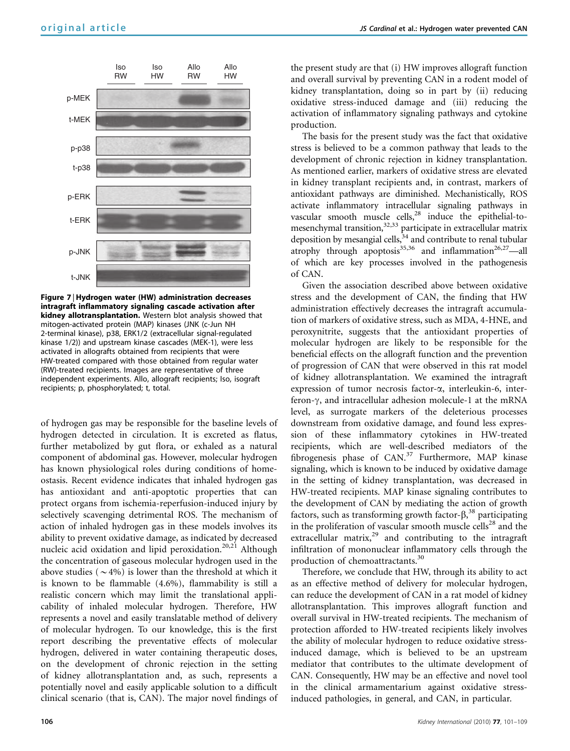<span id="page-5-0"></span>

Figure 7 |Hydrogen water (HW) administration decreases intragraft inflammatory signaling cascade activation after kidney allotransplantation. Western blot analysis showed that mitogen-activated protein (MAP) kinases (JNK (c-Jun NH 2-terminal kinase), p38, ERK1/2 (extracellular signal-regulated kinase 1/2)) and upstream kinase cascades (MEK-1), were less activated in allografts obtained from recipients that were HW-treated compared with those obtained from regular water (RW)-treated recipients. Images are representative of three independent experiments. Allo, allograft recipients; Iso, isograft recipients; p, phosphorylated; t, total.

of hydrogen gas may be responsible for the baseline levels of hydrogen detected in circulation. It is excreted as flatus, further metabolized by gut flora, or exhaled as a natural component of abdominal gas. However, molecular hydrogen has known physiological roles during conditions of homeostasis. Recent evidence indicates that inhaled hydrogen gas has antioxidant and anti-apoptotic properties that can protect organs from ischemia-reperfusion-induced injury by selectively scavenging detrimental ROS. The mechanism of action of inhaled hydrogen gas in these models involves its ability to prevent oxidative damage, as indicated by decreased nucleic acid oxidation and lipid peroxidation.<sup>[20,21](#page-7-0)</sup> Although the concentration of gaseous molecular hydrogen used in the above studies ( $\sim$ 4%) is lower than the threshold at which it is known to be flammable (4.6%), flammability is still a realistic concern which may limit the translational applicability of inhaled molecular hydrogen. Therefore, HW represents a novel and easily translatable method of delivery of molecular hydrogen. To our knowledge, this is the first report describing the preventative effects of molecular hydrogen, delivered in water containing therapeutic doses, on the development of chronic rejection in the setting of kidney allotransplantation and, as such, represents a potentially novel and easily applicable solution to a difficult clinical scenario (that is, CAN). The major novel findings of

the present study are that (i) HW improves allograft function and overall survival by preventing CAN in a rodent model of kidney transplantation, doing so in part by (ii) reducing oxidative stress-induced damage and (iii) reducing the activation of inflammatory signaling pathways and cytokine production.

The basis for the present study was the fact that oxidative stress is believed to be a common pathway that leads to the development of chronic rejection in kidney transplantation. As mentioned earlier, markers of oxidative stress are elevated in kidney transplant recipients and, in contrast, markers of antioxidant pathways are diminished. Mechanistically, ROS activate inflammatory intracellular signaling pathways in vascular smooth muscle cells, $^{28}$  $^{28}$  $^{28}$  induce the epithelial-to-mesenchymal transition,<sup>[32,33](#page-8-0)</sup> participate in extracellular matrix deposition by mesangial cells,<sup>[34](#page-8-0)</sup> and contribute to renal tubular atrophy through apoptosis $35,36$  and inflammation $26,27$ —all of which are key processes involved in the pathogenesis of CAN.

Given the association described above between oxidative stress and the development of CAN, the finding that HW administration effectively decreases the intragraft accumulation of markers of oxidative stress, such as MDA, 4-HNE, and peroxynitrite, suggests that the antioxidant properties of molecular hydrogen are likely to be responsible for the beneficial effects on the allograft function and the prevention of progression of CAN that were observed in this rat model of kidney allotransplantation. We examined the intragraft expression of tumor necrosis factor-a, interleukin-6, interferon- $\gamma$ , and intracellular adhesion molecule-1 at the mRNA level, as surrogate markers of the deleterious processes downstream from oxidative damage, and found less expression of these inflammatory cytokines in HW-treated recipients, which are well-described mediators of the fibrogenesis phase of CAN.<sup>[37](#page-8-0)</sup> Furthermore, MAP kinase signaling, which is known to be induced by oxidative damage in the setting of kidney transplantation, was decreased in HW-treated recipients. MAP kinase signaling contributes to the development of CAN by mediating the action of growth factors, such as transforming growth factor- $\beta$ ,<sup>[38](#page-8-0)</sup> participating in the proliferation of vascular smooth muscle cells<sup>[28](#page-7-0)</sup> and the extracellular matrix, $^{29}$  $^{29}$  $^{29}$  and contributing to the intragraft infiltration of mononuclear inflammatory cells through the production of chemoattractants.<sup>[30](#page-7-0)</sup>

Therefore, we conclude that HW, through its ability to act as an effective method of delivery for molecular hydrogen, can reduce the development of CAN in a rat model of kidney allotransplantation. This improves allograft function and overall survival in HW-treated recipients. The mechanism of protection afforded to HW-treated recipients likely involves the ability of molecular hydrogen to reduce oxidative stressinduced damage, which is believed to be an upstream mediator that contributes to the ultimate development of CAN. Consequently, HW may be an effective and novel tool in the clinical armamentarium against oxidative stressinduced pathologies, in general, and CAN, in particular.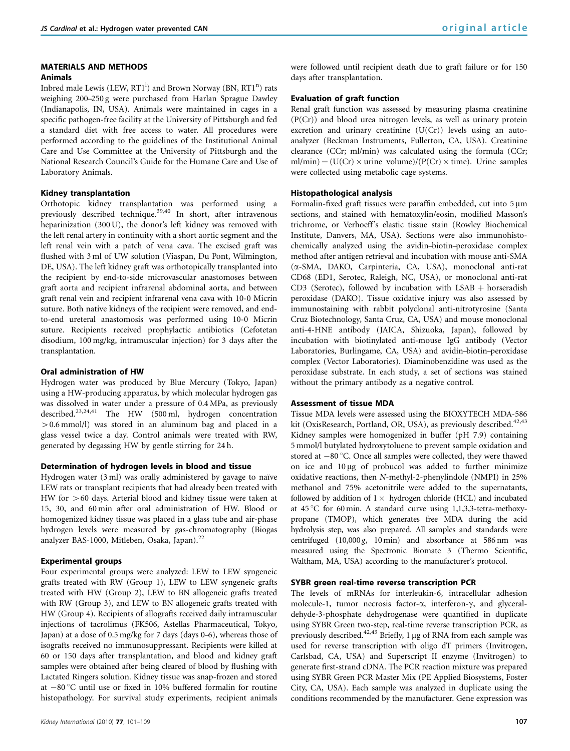## MATERIALS AND METHODS

## Animals

Inbred male Lewis (LEW, RT1<sup>1</sup>) and Brown Norway (BN, RT1<sup>n</sup>) rats weighing 200–250 g were purchased from Harlan Sprague Dawley (Indianapolis, IN, USA). Animals were maintained in cages in a specific pathogen-free facility at the University of Pittsburgh and fed a standard diet with free access to water. All procedures were performed according to the guidelines of the Institutional Animal Care and Use Committee at the University of Pittsburgh and the National Research Council's Guide for the Humane Care and Use of Laboratory Animals.

## Kidney transplantation

Orthotopic kidney transplantation was performed using a previously described technique.<sup>[39,40](#page-8-0)</sup> In short, after intravenous heparinization (300 U), the donor's left kidney was removed with the left renal artery in continuity with a short aortic segment and the left renal vein with a patch of vena cava. The excised graft was flushed with 3 ml of UW solution (Viaspan, Du Pont, Wilmington, DE, USA). The left kidney graft was orthotopically transplanted into the recipient by end-to-side microvascular anastomoses between graft aorta and recipient infrarenal abdominal aorta, and between graft renal vein and recipient infrarenal vena cava with 10-0 Micrin suture. Both native kidneys of the recipient were removed, and endto-end ureteral anastomosis was performed using 10-0 Micrin suture. Recipients received prophylactic antibiotics (Cefotetan disodium, 100 mg/kg, intramuscular injection) for 3 days after the transplantation.

#### Oral administration of HW

Hydrogen water was produced by Blue Mercury (Tokyo, Japan) using a HW-producing apparatus, by which molecular hydrogen gas was dissolved in water under a pressure of 0.4 MPa, as previously described.[23,24,41](#page-7-0) The HW (500 ml, hydrogen concentration  $> 0.6$  mmol/l) was stored in an aluminum bag and placed in a glass vessel twice a day. Control animals were treated with RW, generated by degassing HW by gentle stirring for 24 h.

#### Determination of hydrogen levels in blood and tissue

Hydrogen water  $(3 \text{ ml})$  was orally administered by gavage to naïve LEW rats or transplant recipients that had already been treated with HW for  $>60$  days. Arterial blood and kidney tissue were taken at 15, 30, and 60 min after oral administration of HW. Blood or homogenized kidney tissue was placed in a glass tube and air-phase hydrogen levels were measured by gas-chromatography (Biogas analyzer BAS-1000, Mitleben, Osaka, Japan). $^{22}$  $^{22}$  $^{22}$ 

## Experimental groups

Four experimental groups were analyzed: LEW to LEW syngeneic grafts treated with RW (Group 1), LEW to LEW syngeneic grafts treated with HW (Group 2), LEW to BN allogeneic grafts treated with RW (Group 3), and LEW to BN allogeneic grafts treated with HW (Group 4). Recipients of allografts received daily intramuscular injections of tacrolimus (FK506, Astellas Pharmaceutical, Tokyo, Japan) at a dose of 0.5 mg/kg for 7 days (days 0–6), whereas those of isografts received no immunosuppressant. Recipients were killed at 60 or 150 days after transplantation, and blood and kidney graft samples were obtained after being cleared of blood by flushing with Lactated Ringers solution. Kidney tissue was snap-frozen and stored at  $-80$  °C until use or fixed in 10% buffered formalin for routine histopathology. For survival study experiments, recipient animals

were followed until recipient death due to graft failure or for 150 days after transplantation.

#### Evaluation of graft function

Renal graft function was assessed by measuring plasma creatinine (P(Cr)) and blood urea nitrogen levels, as well as urinary protein excretion and urinary creatinine  $(U(Cr))$  levels using an autoanalyzer (Beckman Instruments, Fullerton, CA, USA). Creatinine clearance (CCr; ml/min) was calculated using the formula (CCr;  $ml/min) = (U(Cr) \times urine$  volume)/( $P(Cr) \times time$ ). Urine samples were collected using metabolic cage systems.

## Histopathological analysis

Formalin-fixed graft tissues were paraffin embedded, cut into  $5 \,\upmu\mathrm{m}$ sections, and stained with hematoxylin/eosin, modified Masson's trichrome, or Verhoeff's elastic tissue stain (Rowley Biochemical Institute, Danvers, MA, USA). Sections were also immunohistochemically analyzed using the avidin–biotin–peroxidase complex method after antigen retrieval and incubation with mouse anti-SMA (a-SMA, DAKO, Carpinteria, CA, USA), monoclonal anti-rat CD68 (ED1, Serotec, Raleigh, NC, USA), or monoclonal anti-rat CD3 (Serotec), followed by incubation with  $LSAB +$  horseradish peroxidase (DAKO). Tissue oxidative injury was also assessed by immunostaining with rabbit polyclonal anti-nitrotyrosine (Santa Cruz Biotechnology, Santa Cruz, CA, USA) and mouse monoclonal anti-4-HNE antibody (JAICA, Shizuoka, Japan), followed by incubation with biotinylated anti-mouse IgG antibody (Vector Laboratories, Burlingame, CA, USA) and avidin–biotin–peroxidase complex (Vector Laboratories). Diaminobenzidine was used as the peroxidase substrate. In each study, a set of sections was stained without the primary antibody as a negative control.

## Assessment of tissue MDA

Tissue MDA levels were assessed using the BIOXYTECH MDA-586 kit (OxisResearch, Portland, OR, USA), as previously described.<sup>[42,43](#page-8-0)</sup> Kidney samples were homogenized in buffer (pH 7.9) containing 5 mmol/l butylated hydroxytoluene to prevent sample oxidation and stored at  $-80$  °C. Once all samples were collected, they were thawed on ice and 10 µg of probucol was added to further minimize oxidative reactions, then N-methyl-2-phenylindole (NMPI) in 25% methanol and 75% acetonitrile were added to the supernatants, followed by addition of  $1\times$  hydrogen chloride (HCL) and incubated at  $45^{\circ}$ C for 60 min. A standard curve using 1,1,3,3-tetra-methoxypropane (TMOP), which generates free MDA during the acid hydrolysis step, was also prepared. All samples and standards were centrifuged  $(10,000 g, 10 min)$  and absorbance at 586 nm was measured using the Spectronic Biomate 3 (Thermo Scientific, Waltham, MA, USA) according to the manufacturer's protocol.

#### SYBR green real-time reverse transcription PCR

The levels of mRNAs for interleukin-6, intracellular adhesion molecule-1, tumor necrosis factor- $\alpha$ , interferon- $\gamma$ , and glyceraldehyde-3-phosphate dehydrogenase were quantified in duplicate using SYBR Green two-step, real-time reverse transcription PCR, as previously described.<sup>[42,43](#page-8-0)</sup> Briefly, 1 µg of RNA from each sample was used for reverse transcription with oligo dT primers (Invitrogen, Carlsbad, CA, USA) and Superscript II enzyme (Invitrogen) to generate first-strand cDNA. The PCR reaction mixture was prepared using SYBR Green PCR Master Mix (PE Applied Biosystems, Foster City, CA, USA). Each sample was analyzed in duplicate using the conditions recommended by the manufacturer. Gene expression was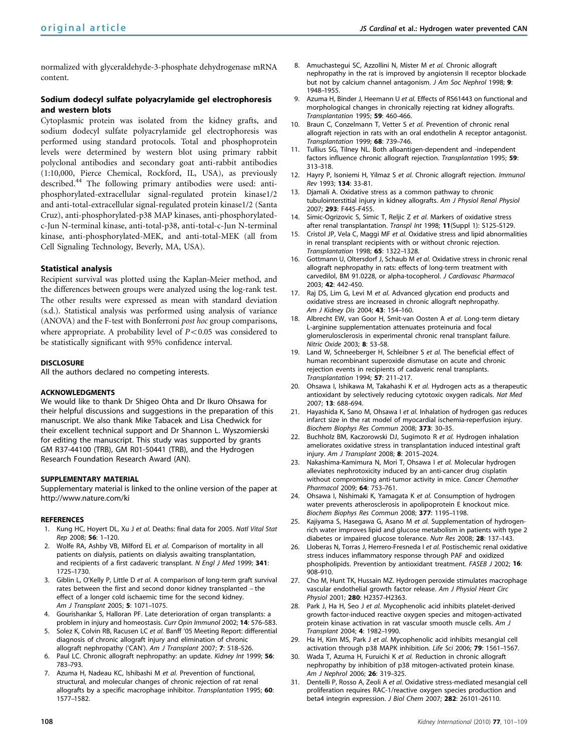<span id="page-7-0"></span>normalized with glyceraldehyde-3-phosphate dehydrogenase mRNA content.

## Sodium dodecyl sulfate polyacrylamide gel electrophoresis and western blots

Cytoplasmic protein was isolated from the kidney grafts, and sodium dodecyl sulfate polyacrylamide gel electrophoresis was performed using standard protocols. Total and phosphoprotein levels were determined by western blot using primary rabbit polyclonal antibodies and secondary goat anti-rabbit antibodies (1:10,000, Pierce Chemical, Rockford, IL, USA), as previously described.[44](#page-8-0) The following primary antibodies were used: antiphosphorylated-extracellular signal-regulated protein kinase1/2 and anti-total-extracellular signal-regulated protein kinase1/2 (Santa Cruz), anti-phosphorylated-p38 MAP kinases, anti-phosphorylatedc-Jun N-terminal kinase, anti-total-p38, anti-total-c-Jun N-terminal kinase, anti-phosphorylated-MEK, and anti-total-MEK (all from Cell Signaling Technology, Beverly, MA, USA).

## Statistical analysis

Recipient survival was plotted using the Kaplan–Meier method, and the differences between groups were analyzed using the log-rank test. The other results were expressed as mean with standard deviation (s.d.). Statistical analysis was performed using analysis of variance (ANOVA) and the F-test with Bonferroni post hoc group comparisons, where appropriate. A probability level of  $P<0.05$  was considered to be statistically significant with 95% confidence interval.

## **DISCLOSURE**

All the authors declared no competing interests.

## ACKNOWLEDGMENTS

We would like to thank Dr Shigeo Ohta and Dr Ikuro Ohsawa for their helpful discussions and suggestions in the preparation of this manuscript. We also thank Mike Tabacek and Lisa Chedwick for their excellent technical support and Dr Shannon L. Wyszomierski for editing the manuscript. This study was supported by grants GM R37-44100 (TRB), GM R01-50441 (TRB), and the Hydrogen Research Foundation Research Award (AN).

## SUPPLEMENTARY MATERIAL

Supplementary material is linked to the online version of the paper at http://www.nature.com/ki

## REFERENCES

- 1. Kung HC, Hoyert DL, Xu J et al. Deaths: final data for 2005. Natl Vital Stat Rep 2008: 56: 1-120.
- Wolfe RA, Ashby VB, Milford EL et al. Comparison of mortality in all patients on dialysis, patients on dialysis awaiting transplantation, and recipients of a first cadaveric transplant. N Engl J Med 1999; 341: 1725–1730.
- 3. Giblin L, O'Kelly P, Little D et al. A comparison of long-term graft survival rates between the first and second donor kidney transplanted – the effect of a longer cold ischaemic time for the second kidney. Am J Transplant 2005; 5: 1071–1075.
- 4. Gourishankar S, Halloran PF. Late deterioration of organ transplants: a problem in injury and homeostasis. Curr Opin Immunol 2002; 14: 576–583.
- 5. Solez K, Colvin RB, Racusen LC et al. Banff '05 Meeting Report: differential diagnosis of chronic allograft injury and elimination of chronic allograft nephropathy ('CAN'). Am J Transplant 2007; 7: 518-526.
- 6. Paul LC. Chronic allograft nephropathy: an update. Kidney Int 1999; 56: 783–793.
- Azuma H, Nadeau KC, Ishibashi M et al. Prevention of functional, structural, and molecular changes of chronic rejection of rat renal allografts by a specific macrophage inhibitor. Transplantation 1995; 60: 1577–1582.
- 8. Amuchastegui SC, Azzollini N, Mister M et al. Chronic allograft nephropathy in the rat is improved by angiotensin II receptor blockade but not by calcium channel antagonism. J Am Soc Nephrol 1998; 9: 1948–1955.
- 9. Azuma H, Binder J, Heemann U et al. Effects of RS61443 on functional and morphological changes in chronically rejecting rat kidney allografts. Transplantation 1995; 59: 460–466.
- 10. Braun C, Conzelmann T, Vetter S et al. Prevention of chronic renal allograft rejection in rats with an oral endothelin A receptor antagonist. Transplantation 1999; 68: 739–746.
- 11. Tullius SG, Tilney NL. Both alloantigen-dependent and -independent factors influence chronic allograft rejection. Transplantation 1995; 59: 313–318.
- 12. Hayry P, Isoniemi H, Yilmaz S et al. Chronic allograft rejection. Immunol Rev 1993; 134: 33–81.
- 13. Djamali A. Oxidative stress as a common pathway to chronic tubulointerstitial injury in kidney allografts. Am J Physiol Renal Physiol 2007; 293: F445–F455.
- 14. Simic-Ogrizovic S, Simic T, Reljic Z et al. Markers of oxidative stress after renal transplantation. Transpl Int 1998; 11(Suppl 1): S125–S129.
- 15. Cristol JP, Vela C, Maggi MF et al. Oxidative stress and lipid abnormalities in renal transplant recipients with or without chronic rejection. Transplantation 1998; 65: 1322–1328.
- 16. Gottmann U, Oltersdorf J, Schaub M et al. Oxidative stress in chronic renal allograft nephropathy in rats: effects of long-term treatment with carvedilol, BM 91.0228, or alpha-tocopherol. J Cardiovasc Pharmacol 2003; 42: 442–450.
- 17. Raj DS, Lim G, Levi M et al. Advanced glycation end products and oxidative stress are increased in chronic allograft nephropathy. Am J Kidney Dis 2004; 43: 154-160.
- 18. Albrecht EW, van Goor H, Smit-van Oosten A et al. Long-term dietary L-arginine supplementation attenuates proteinuria and focal glomerulosclerosis in experimental chronic renal transplant failure. Nitric Oxide 2003; 8: 53–58.
- 19. Land W, Schneeberger H, Schleibner S et al. The beneficial effect of human recombinant superoxide dismutase on acute and chronic rejection events in recipients of cadaveric renal transplants. Transplantation 1994; 57: 211–217.
- 20. Ohsawa I, Ishikawa M, Takahashi K et al. Hydrogen acts as a therapeutic antioxidant by selectively reducing cytotoxic oxygen radicals. Nat Med 2007; 13: 688–694.
- 21. Hayashida K, Sano M, Ohsawa I et al. Inhalation of hydrogen gas reduces infarct size in the rat model of myocardial ischemia-reperfusion injury. Biochem Biophys Res Commun 2008; 373: 30–35.
- 22. Buchholz BM, Kaczorowski DJ, Sugimoto R et al. Hydrogen inhalation ameliorates oxidative stress in transplantation induced intestinal graft injury. Am J Transplant 2008; 8: 2015–2024.
- 23. Nakashima-Kamimura N, Mori T, Ohsawa I et al. Molecular hydrogen alleviates nephrotoxicity induced by an anti-cancer drug cisplatin without compromising anti-tumor activity in mice. Cancer Chemother Pharmacol 2009; 64: 753–761.
- 24. Ohsawa I, Nishimaki K, Yamagata K et al. Consumption of hydrogen water prevents atherosclerosis in apolipoprotein E knockout mice. Biochem Biophys Res Commun 2008; 377: 1195–1198.
- 25. Kajiyama S, Hasegawa G, Asano M et al. Supplementation of hydrogenrich water improves lipid and glucose metabolism in patients with type 2 diabetes or impaired glucose tolerance. Nutr Res 2008; 28: 137–143.
- 26. Lloberas N, Torras J, Herrero-Fresneda I et al. Postischemic renal oxidative stress induces inflammatory response through PAF and oxidized phospholipids. Prevention by antioxidant treatment. FASEB J 2002; 16: 908–910.
- 27. Cho M, Hunt TK, Hussain MZ. Hydrogen peroxide stimulates macrophage vascular endothelial growth factor release. Am J Physiol Heart Circ Physiol 2001; 280: H2357–H2363.
- 28. Park J, Ha H, Seo J et al. Mycophenolic acid inhibits platelet-derived growth factor-induced reactive oxygen species and mitogen-activated protein kinase activation in rat vascular smooth muscle cells. Am J Transplant 2004; 4: 1982–1990.
- 29. Ha H, Kim MS, Park J et al. Mycophenolic acid inhibits mesangial cell activation through p38 MAPK inhibition. Life Sci 2006; 79: 1561-1567.
- 30. Wada T, Azuma H, Furuichi K et al. Reduction in chronic allograft nephropathy by inhibition of p38 mitogen-activated protein kinase. Am J Nephrol 2006; 26: 319-325.
- 31. Dentelli P, Rosso A, Zeoli A et al. Oxidative stress-mediated mesangial cell proliferation requires RAC-1/reactive oxygen species production and beta4 integrin expression. J Biol Chem 2007; 282: 26101–26110.